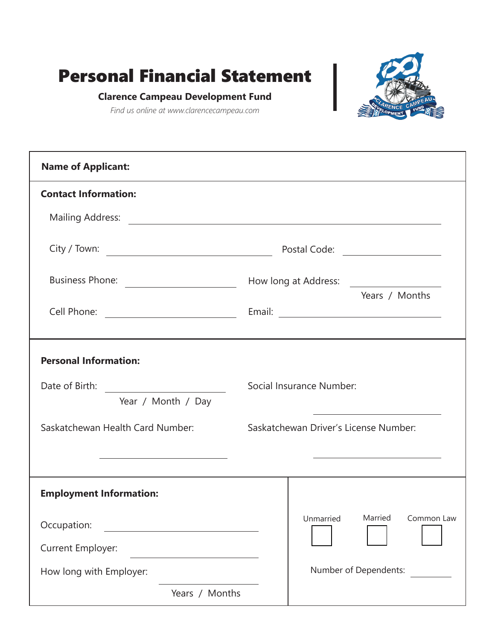# Personal Financial Statement



### **Clarence Campeau Development Fund**

*Find us online at www.clarencecampeau.com*

| <b>Name of Applicant:</b>                                                                                           |                                       |
|---------------------------------------------------------------------------------------------------------------------|---------------------------------------|
| <b>Contact Information:</b>                                                                                         |                                       |
| Mailing Address: <u>Dental Address:</u> National Address: 2007                                                      |                                       |
|                                                                                                                     |                                       |
|                                                                                                                     | Years / Months                        |
| Cell Phone: <u>______________________________</u>                                                                   |                                       |
| <b>Personal Information:</b><br>Date of Birth: <u>______________________</u><br>Year / Month / Day                  | Social Insurance Number:              |
| Saskatchewan Health Card Number:<br>the contract of the contract of the contract of the contract of the contract of | Saskatchewan Driver's License Number: |
| <b>Employment Information:</b>                                                                                      |                                       |
| Occupation:                                                                                                         | Unmarried<br>Married<br>Common Law    |
| Current Employer:                                                                                                   |                                       |
| How long with Employer:                                                                                             | Number of Dependents:                 |
| Years / Months                                                                                                      |                                       |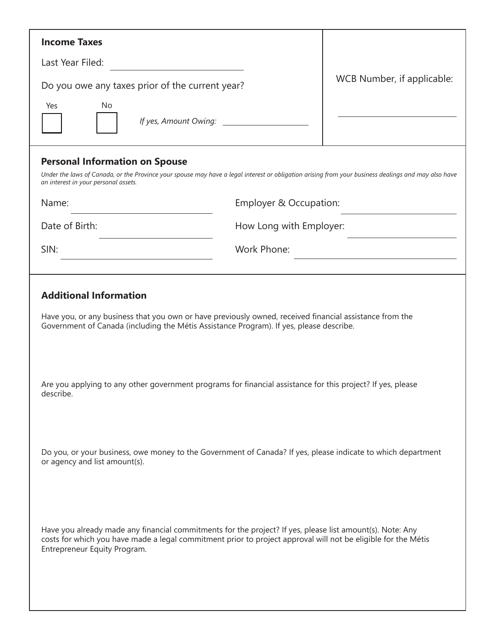| <b>Income Taxes</b>                                                                                                                                                                                                                                        |                         |                                                                                                                     |  |  |
|------------------------------------------------------------------------------------------------------------------------------------------------------------------------------------------------------------------------------------------------------------|-------------------------|---------------------------------------------------------------------------------------------------------------------|--|--|
| Last Year Filed:                                                                                                                                                                                                                                           |                         |                                                                                                                     |  |  |
| Do you owe any taxes prior of the current year?                                                                                                                                                                                                            |                         | WCB Number, if applicable:                                                                                          |  |  |
| <b>No</b><br>Yes<br>If yes, Amount Owing:                                                                                                                                                                                                                  |                         |                                                                                                                     |  |  |
| <b>Personal Information on Spouse</b><br>Under the laws of Canada, or the Province your spouse may have a legal interest or obligation arising from your business dealings and may also have<br>an interest in your personal assets.                       |                         |                                                                                                                     |  |  |
| Name:                                                                                                                                                                                                                                                      | Employer & Occupation:  |                                                                                                                     |  |  |
| Date of Birth:                                                                                                                                                                                                                                             | How Long with Employer: |                                                                                                                     |  |  |
| SIN:                                                                                                                                                                                                                                                       | Work Phone:             | <u> 1980 - Johann Barn, mars eta bainar eta baina eta baina eta baina eta baina eta baina eta baina eta baina e</u> |  |  |
|                                                                                                                                                                                                                                                            |                         |                                                                                                                     |  |  |
| <b>Additional Information</b><br>Have you, or any business that you own or have previously owned, received financial assistance from the<br>Government of Canada (including the Métis Assistance Program). If yes, please describe.                        |                         |                                                                                                                     |  |  |
| Are you applying to any other government programs for financial assistance for this project? If yes, please<br>describe.                                                                                                                                   |                         |                                                                                                                     |  |  |
| Do you, or your business, owe money to the Government of Canada? If yes, please indicate to which department<br>or agency and list amount(s).                                                                                                              |                         |                                                                                                                     |  |  |
| Have you already made any financial commitments for the project? If yes, please list amount(s). Note: Any<br>costs for which you have made a legal commitment prior to project approval will not be eligible for the Métis<br>Entrepreneur Equity Program. |                         |                                                                                                                     |  |  |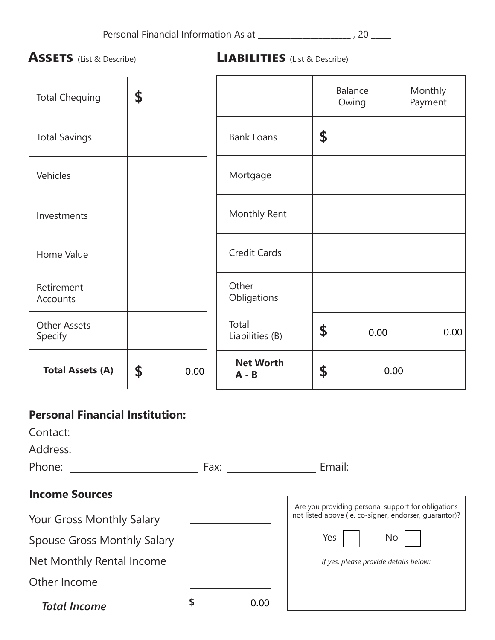**Assets** (List & Describe) **Liabilities** (List & Describe)

| <b>Total Chequing</b>          | \$         |                             | <b>Balance</b><br>Owing | Monthly<br>Payment |
|--------------------------------|------------|-----------------------------|-------------------------|--------------------|
| <b>Total Savings</b>           |            | <b>Bank Loans</b>           | \$                      |                    |
| Vehicles                       |            | Mortgage                    |                         |                    |
| Investments                    |            | Monthly Rent                |                         |                    |
| Home Value                     |            | <b>Credit Cards</b>         |                         |                    |
| Retirement<br>Accounts         |            | Other<br>Obligations        |                         |                    |
| <b>Other Assets</b><br>Specify |            | Total<br>Liabilities (B)    | \$<br>0.00              | 0.00               |
| <b>Total Assets (A)</b>        | \$<br>0.00 | <b>Net Worth</b><br>$A - B$ | \$                      | 0.00               |

## **Personal Financial Institution:**

| Contact:                           |      |      |                                                                                                              |
|------------------------------------|------|------|--------------------------------------------------------------------------------------------------------------|
| Address:                           |      |      |                                                                                                              |
| Phone:                             | Fax: |      | Email:                                                                                                       |
| <b>Income Sources</b>              |      |      |                                                                                                              |
| Your Gross Monthly Salary          |      |      | Are you providing personal support for obligations<br>not listed above (ie. co-signer, endorser, quarantor)? |
| <b>Spouse Gross Monthly Salary</b> |      |      | Yes<br>No                                                                                                    |
| Net Monthly Rental Income          |      |      | If yes, please provide details below:                                                                        |
| Other Income                       |      |      |                                                                                                              |
| <b>Total Income</b>                |      | 0.00 |                                                                                                              |